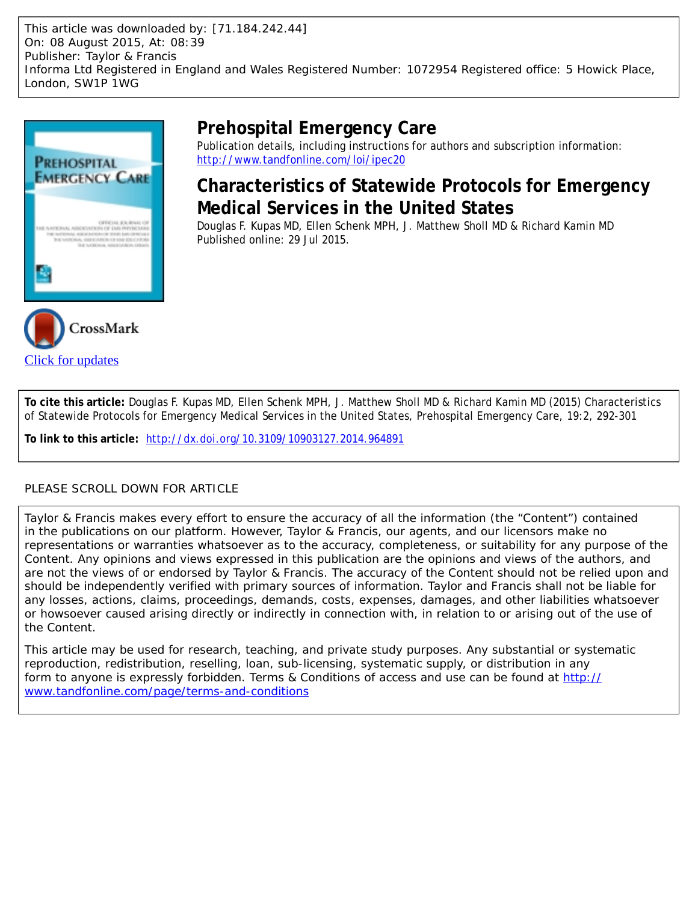This article was downloaded by: [71.184.242.44] On: 08 August 2015, At: 08:39 Publisher: Taylor & Francis Informa Ltd Registered in England and Wales Registered Number: 1072954 Registered office: 5 Howick Place, London, SW1P 1WG





# **Prehospital Emergency Care**

Publication details, including instructions for authors and subscription information: <http://www.tandfonline.com/loi/ipec20>

## **Characteristics of Statewide Protocols for Emergency Medical Services in the United States**

Douglas F. Kupas MD, Ellen Schenk MPH, J. Matthew Sholl MD & Richard Kamin MD Published online: 29 Jul 2015.

**To cite this article:** Douglas F. Kupas MD, Ellen Schenk MPH, J. Matthew Sholl MD & Richard Kamin MD (2015) Characteristics of Statewide Protocols for Emergency Medical Services in the United States, Prehospital Emergency Care, 19:2, 292-301

**To link to this article:** <http://dx.doi.org/10.3109/10903127.2014.964891>

### PLEASE SCROLL DOWN FOR ARTICLE

Taylor & Francis makes every effort to ensure the accuracy of all the information (the "Content") contained in the publications on our platform. However, Taylor & Francis, our agents, and our licensors make no representations or warranties whatsoever as to the accuracy, completeness, or suitability for any purpose of the Content. Any opinions and views expressed in this publication are the opinions and views of the authors, and are not the views of or endorsed by Taylor & Francis. The accuracy of the Content should not be relied upon and should be independently verified with primary sources of information. Taylor and Francis shall not be liable for any losses, actions, claims, proceedings, demands, costs, expenses, damages, and other liabilities whatsoever or howsoever caused arising directly or indirectly in connection with, in relation to or arising out of the use of the Content.

This article may be used for research, teaching, and private study purposes. Any substantial or systematic reproduction, redistribution, reselling, loan, sub-licensing, systematic supply, or distribution in any form to anyone is expressly forbidden. Terms & Conditions of access and use can be found at [http://](http://www.tandfonline.com/page/terms-and-conditions) [www.tandfonline.com/page/terms-and-conditions](http://www.tandfonline.com/page/terms-and-conditions)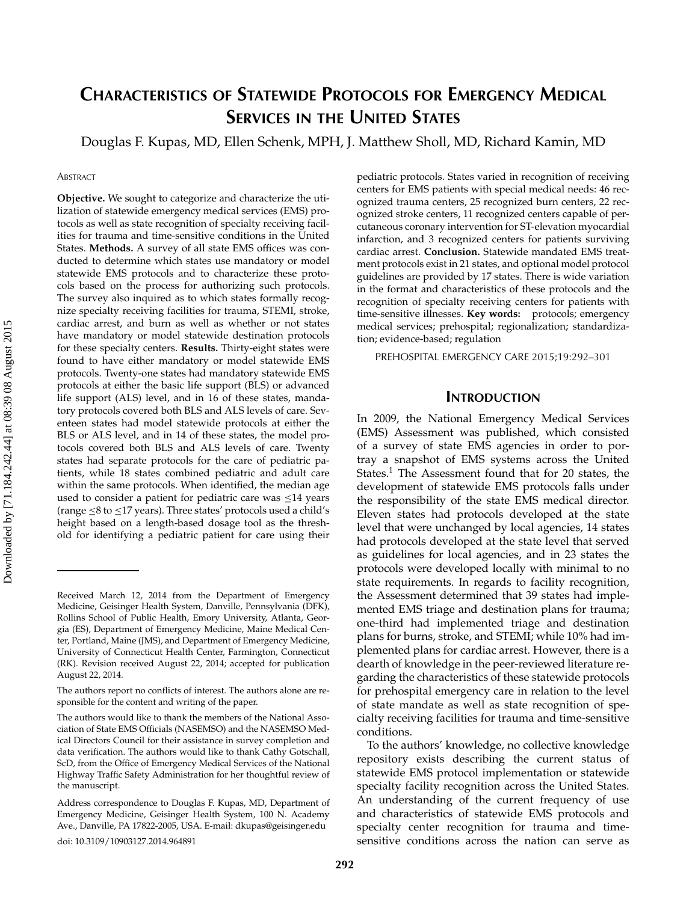## **CHARACTERISTICS OF STATEWIDE PROTOCOLS FOR EMERGENCY MEDICAL SERVICES IN THE UNITED STATES**

Douglas F. Kupas, MD, Ellen Schenk, MPH, J. Matthew Sholl, MD, Richard Kamin, MD

**ABSTRACT** 

**Objective.** We sought to categorize and characterize the utilization of statewide emergency medical services (EMS) protocols as well as state recognition of specialty receiving facilities for trauma and time-sensitive conditions in the United States. **Methods.** A survey of all state EMS offices was conducted to determine which states use mandatory or model statewide EMS protocols and to characterize these protocols based on the process for authorizing such protocols. The survey also inquired as to which states formally recognize specialty receiving facilities for trauma, STEMI, stroke, cardiac arrest, and burn as well as whether or not states have mandatory or model statewide destination protocols for these specialty centers. **Results.** Thirty-eight states were found to have either mandatory or model statewide EMS protocols. Twenty-one states had mandatory statewide EMS protocols at either the basic life support (BLS) or advanced life support (ALS) level, and in 16 of these states, mandatory protocols covered both BLS and ALS levels of care. Seventeen states had model statewide protocols at either the BLS or ALS level, and in 14 of these states, the model protocols covered both BLS and ALS levels of care. Twenty states had separate protocols for the care of pediatric patients, while 18 states combined pediatric and adult care within the same protocols. When identified, the median age used to consider a patient for pediatric care was  $\leq$ 14 years (range  $\leq$ 8 to  $\leq$ 17 years). Three states' protocols used a child's height based on a length-based dosage tool as the threshold for identifying a pediatric patient for care using their

doi: 10.3109/10903127.2014.964891

pediatric protocols. States varied in recognition of receiving centers for EMS patients with special medical needs: 46 recognized trauma centers, 25 recognized burn centers, 22 recognized stroke centers, 11 recognized centers capable of percutaneous coronary intervention for ST-elevation myocardial infarction, and 3 recognized centers for patients surviving cardiac arrest. **Conclusion.** Statewide mandated EMS treatment protocols exist in 21 states, and optional model protocol guidelines are provided by 17 states. There is wide variation in the format and characteristics of these protocols and the recognition of specialty receiving centers for patients with time-sensitive illnesses. **Key words:** protocols; emergency medical services; prehospital; regionalization; standardization; evidence-based; regulation

PREHOSPITAL EMERGENCY CARE 2015;19:292–301

#### **INTRODUCTION**

In 2009, the National Emergency Medical Services (EMS) Assessment was published, which consisted of a survey of state EMS agencies in order to portray a snapshot of EMS systems across the United States.<sup>1</sup> The Assessment found that for 20 states, the development of statewide EMS protocols falls under the responsibility of the state EMS medical director. Eleven states had protocols developed at the state level that were unchanged by local agencies, 14 states had protocols developed at the state level that served as guidelines for local agencies, and in 23 states the protocols were developed locally with minimal to no state requirements. In regards to facility recognition, the Assessment determined that 39 states had implemented EMS triage and destination plans for trauma; one-third had implemented triage and destination plans for burns, stroke, and STEMI; while 10% had implemented plans for cardiac arrest. However, there is a dearth of knowledge in the peer-reviewed literature regarding the characteristics of these statewide protocols for prehospital emergency care in relation to the level of state mandate as well as state recognition of specialty receiving facilities for trauma and time-sensitive conditions.

To the authors' knowledge, no collective knowledge repository exists describing the current status of statewide EMS protocol implementation or statewide specialty facility recognition across the United States. An understanding of the current frequency of use and characteristics of statewide EMS protocols and specialty center recognition for trauma and timesensitive conditions across the nation can serve as

Received March 12, 2014 from the Department of Emergency Medicine, Geisinger Health System, Danville, Pennsylvania (DFK), Rollins School of Public Health, Emory University, Atlanta, Georgia (ES), Department of Emergency Medicine, Maine Medical Center, Portland, Maine (JMS), and Department of Emergency Medicine, University of Connecticut Health Center, Farmington, Connecticut (RK). Revision received August 22, 2014; accepted for publication August 22, 2014.

The authors report no conflicts of interest. The authors alone are responsible for the content and writing of the paper.

The authors would like to thank the members of the National Association of State EMS Officials (NASEMSO) and the NASEMSO Medical Directors Council for their assistance in survey completion and data verification. The authors would like to thank Cathy Gotschall, ScD, from the Office of Emergency Medical Services of the National Highway Traffic Safety Administration for her thoughtful review of the manuscript.

Address correspondence to Douglas F. Kupas, MD, Department of Emergency Medicine, Geisinger Health System, 100 N. Academy Ave., Danville, PA 17822-2005, USA. E-mail: dkupas@geisinger.edu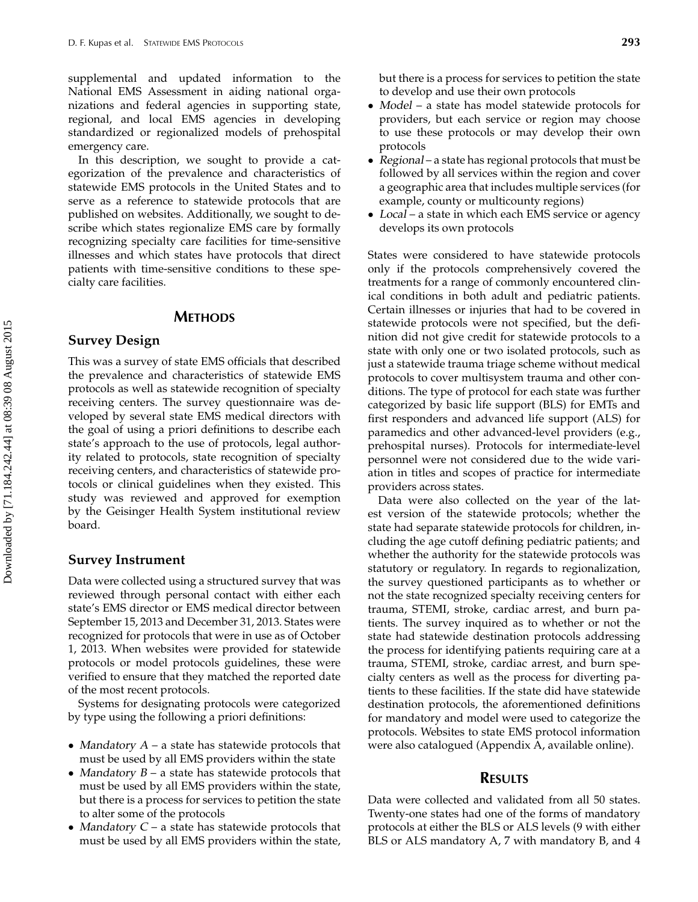supplemental and updated information to the National EMS Assessment in aiding national organizations and federal agencies in supporting state, regional, and local EMS agencies in developing standardized or regionalized models of prehospital emergency care.

In this description, we sought to provide a categorization of the prevalence and characteristics of statewide EMS protocols in the United States and to serve as a reference to statewide protocols that are published on websites. Additionally, we sought to describe which states regionalize EMS care by formally recognizing specialty care facilities for time-sensitive illnesses and which states have protocols that direct patients with time-sensitive conditions to these specialty care facilities.

#### **METHODS**

#### **Survey Design**

This was a survey of state EMS officials that described the prevalence and characteristics of statewide EMS protocols as well as statewide recognition of specialty receiving centers. The survey questionnaire was developed by several state EMS medical directors with the goal of using a priori definitions to describe each state's approach to the use of protocols, legal authority related to protocols, state recognition of specialty receiving centers, and characteristics of statewide protocols or clinical guidelines when they existed. This study was reviewed and approved for exemption by the Geisinger Health System institutional review board.

#### **Survey Instrument**

Data were collected using a structured survey that was reviewed through personal contact with either each state's EMS director or EMS medical director between September 15, 2013 and December 31, 2013. States were recognized for protocols that were in use as of October 1, 2013. When websites were provided for statewide protocols or model protocols guidelines, these were verified to ensure that they matched the reported date of the most recent protocols.

Systems for designating protocols were categorized by type using the following a priori definitions:

- Mandatory  $A a$  state has statewide protocols that must be used by all EMS providers within the state
- Mandatory  $B a$  state has statewide protocols that must be used by all EMS providers within the state, but there is a process for services to petition the state to alter some of the protocols
- Mandatory  $C a$  state has statewide protocols that must be used by all EMS providers within the state,

but there is a process for services to petition the state to develop and use their own protocols

- Model a state has model statewide protocols for providers, but each service or region may choose to use these protocols or may develop their own protocols
- Regional a state has regional protocols that must be followed by all services within the region and cover a geographic area that includes multiple services (for example, county or multicounty regions)
- Local a state in which each EMS service or agency develops its own protocols

States were considered to have statewide protocols only if the protocols comprehensively covered the treatments for a range of commonly encountered clinical conditions in both adult and pediatric patients. Certain illnesses or injuries that had to be covered in statewide protocols were not specified, but the definition did not give credit for statewide protocols to a state with only one or two isolated protocols, such as just a statewide trauma triage scheme without medical protocols to cover multisystem trauma and other conditions. The type of protocol for each state was further categorized by basic life support (BLS) for EMTs and first responders and advanced life support (ALS) for paramedics and other advanced-level providers (e.g., prehospital nurses). Protocols for intermediate-level personnel were not considered due to the wide variation in titles and scopes of practice for intermediate providers across states.

Data were also collected on the year of the latest version of the statewide protocols; whether the state had separate statewide protocols for children, including the age cutoff defining pediatric patients; and whether the authority for the statewide protocols was statutory or regulatory. In regards to regionalization, the survey questioned participants as to whether or not the state recognized specialty receiving centers for trauma, STEMI, stroke, cardiac arrest, and burn patients. The survey inquired as to whether or not the state had statewide destination protocols addressing the process for identifying patients requiring care at a trauma, STEMI, stroke, cardiac arrest, and burn specialty centers as well as the process for diverting patients to these facilities. If the state did have statewide destination protocols, the aforementioned definitions for mandatory and model were used to categorize the protocols. Websites to state EMS protocol information were also catalogued (Appendix A, available online).

#### **RESULTS**

Data were collected and validated from all 50 states. Twenty-one states had one of the forms of mandatory protocols at either the BLS or ALS levels (9 with either BLS or ALS mandatory A, 7 with mandatory B, and 4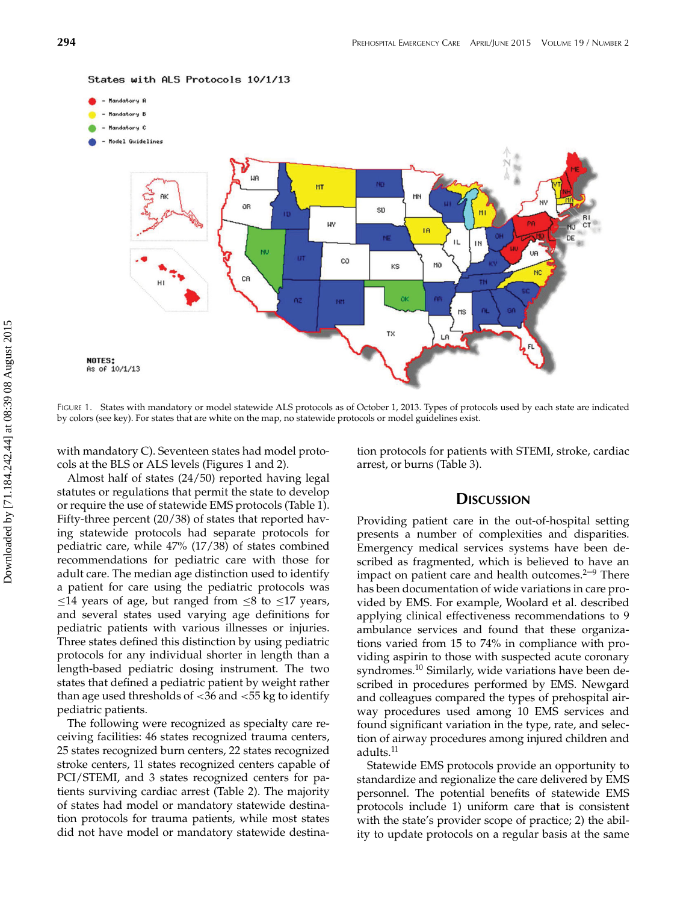

FIGURE 1. States with mandatory or model statewide ALS protocols as of October 1, 2013. Types of protocols used by each state are indicated by colors (see key). For states that are white on the map, no statewide protocols or model guidelines exist.

with mandatory C). Seventeen states had model protocols at the BLS or ALS levels (Figures 1 and 2).

pediatric patients.

Almost half of states (24/50) reported having legal statutes or regulations that permit the state to develop or require the use of statewide EMS protocols (Table 1). Fifty-three percent (20/38) of states that reported having statewide protocols had separate protocols for pediatric care, while 47% (17/38) of states combined recommendations for pediatric care with those for adult care. The median age distinction used to identify a patient for care using the pediatric protocols was ≤14 years of age, but ranged from  $≤8$  to  $≤17$  years, and several states used varying age definitions for pediatric patients with various illnesses or injuries. Three states defined this distinction by using pediatric protocols for any individual shorter in length than a length-based pediatric dosing instrument. The two states that defined a pediatric patient by weight rather than age used thresholds of *<*36 and *<*55 kg to identify

The following were recognized as specialty care receiving facilities: 46 states recognized trauma centers, 25 states recognized burn centers, 22 states recognized stroke centers, 11 states recognized centers capable of PCI/STEMI, and 3 states recognized centers for patients surviving cardiac arrest (Table 2). The majority of states had model or mandatory statewide destination protocols for trauma patients, while most states did not have model or mandatory statewide destination protocols for patients with STEMI, stroke, cardiac arrest, or burns (Table 3).

#### **DISCUSSION**

Providing patient care in the out-of-hospital setting presents a number of complexities and disparities. Emergency medical services systems have been described as fragmented, which is believed to have an impact on patient care and health outcomes. $2\rightarrow$  There has been documentation of wide variations in care provided by EMS. For example, Woolard et al. described applying clinical effectiveness recommendations to 9 ambulance services and found that these organizations varied from 15 to 74% in compliance with providing aspirin to those with suspected acute coronary syndromes.<sup>10</sup> Similarly, wide variations have been described in procedures performed by EMS. Newgard and colleagues compared the types of prehospital airway procedures used among 10 EMS services and found significant variation in the type, rate, and selection of airway procedures among injured children and adults.11

Statewide EMS protocols provide an opportunity to standardize and regionalize the care delivered by EMS personnel. The potential benefits of statewide EMS protocols include 1) uniform care that is consistent with the state's provider scope of practice; 2) the ability to update protocols on a regular basis at the same

#### States with ALS Protocols 10/1/13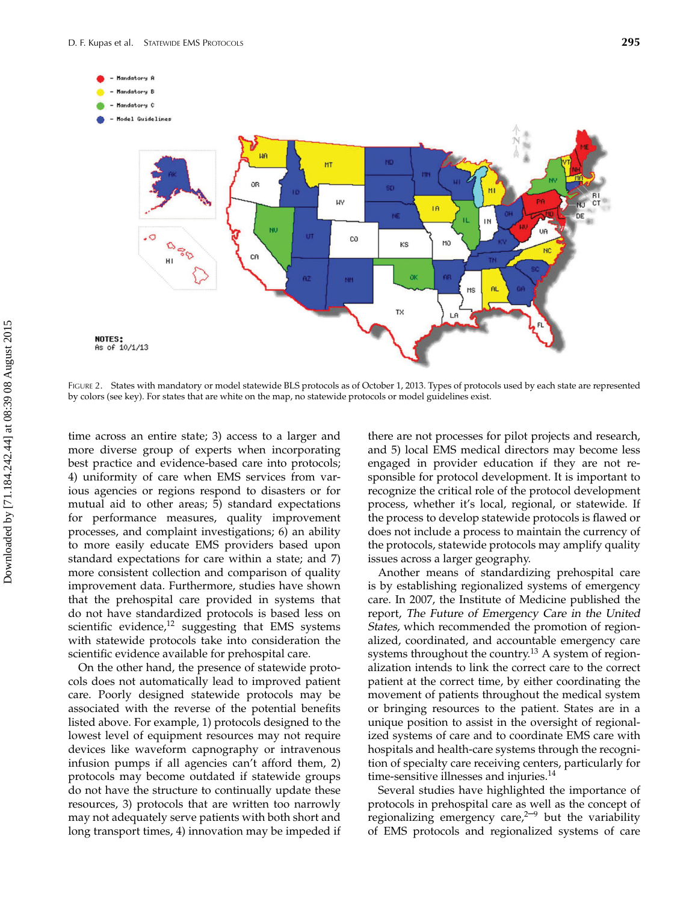

FIGURE 2. States with mandatory or model statewide BLS protocols as of October 1, 2013. Types of protocols used by each state are represented by colors (see key). For states that are white on the map, no statewide protocols or model guidelines exist.

time across an entire state; 3) access to a larger and more diverse group of experts when incorporating best practice and evidence-based care into protocols; 4) uniformity of care when EMS services from various agencies or regions respond to disasters or for mutual aid to other areas; 5) standard expectations for performance measures, quality improvement processes, and complaint investigations; 6) an ability to more easily educate EMS providers based upon standard expectations for care within a state; and 7) more consistent collection and comparison of quality improvement data. Furthermore, studies have shown that the prehospital care provided in systems that do not have standardized protocols is based less on scientific evidence, $12$  suggesting that EMS systems with statewide protocols take into consideration the scientific evidence available for prehospital care.

On the other hand, the presence of statewide protocols does not automatically lead to improved patient care. Poorly designed statewide protocols may be associated with the reverse of the potential benefits listed above. For example, 1) protocols designed to the lowest level of equipment resources may not require devices like waveform capnography or intravenous infusion pumps if all agencies can't afford them, 2) protocols may become outdated if statewide groups do not have the structure to continually update these resources, 3) protocols that are written too narrowly may not adequately serve patients with both short and long transport times, 4) innovation may be impeded if there are not processes for pilot projects and research, and 5) local EMS medical directors may become less engaged in provider education if they are not responsible for protocol development. It is important to recognize the critical role of the protocol development process, whether it's local, regional, or statewide. If the process to develop statewide protocols is flawed or does not include a process to maintain the currency of the protocols, statewide protocols may amplify quality issues across a larger geography.

Another means of standardizing prehospital care is by establishing regionalized systems of emergency care. In 2007, the Institute of Medicine published the report, The Future of Emergency Care in the United States, which recommended the promotion of regionalized, coordinated, and accountable emergency care systems throughout the country.<sup>13</sup> A system of regionalization intends to link the correct care to the correct patient at the correct time, by either coordinating the movement of patients throughout the medical system or bringing resources to the patient. States are in a unique position to assist in the oversight of regionalized systems of care and to coordinate EMS care with hospitals and health-care systems through the recognition of specialty care receiving centers, particularly for time-sensitive illnesses and injuries.<sup>14</sup>

Several studies have highlighted the importance of protocols in prehospital care as well as the concept of regionalizing emergency care, $2^{-9}$  but the variability of EMS protocols and regionalized systems of care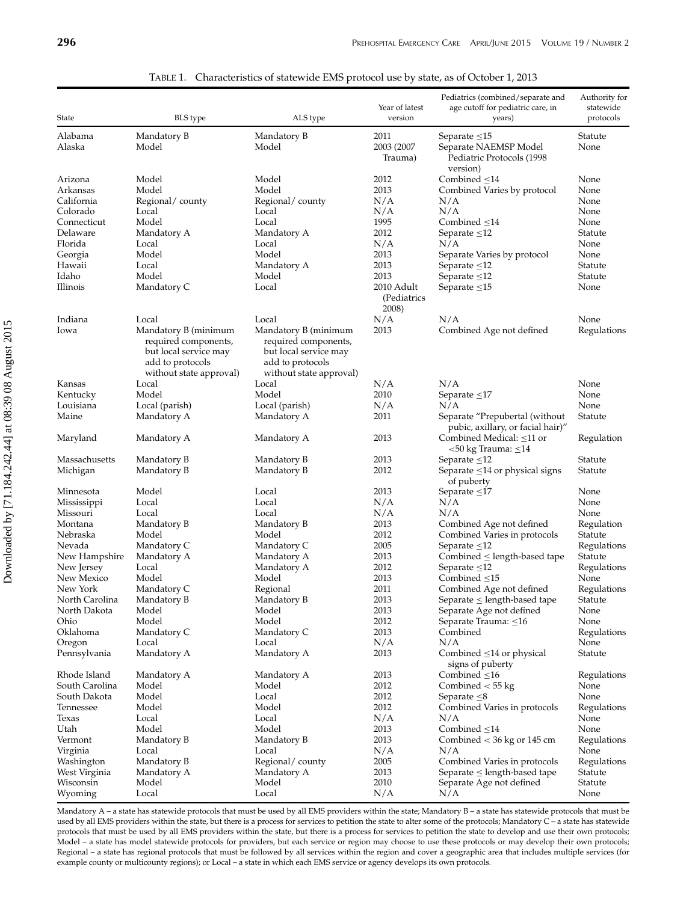| State          | <b>BLS</b> type         | ALS type                | Year of latest<br>version          | Pediatrics (combined/separate and<br>age cutoff for pediatric care, in<br>years) | Authority for<br>statewide<br>protocols |
|----------------|-------------------------|-------------------------|------------------------------------|----------------------------------------------------------------------------------|-----------------------------------------|
| Alabama        | Mandatory B             | Mandatory B             | 2011                               | Separate $\leq 15$                                                               | Statute                                 |
| Alaska         | Model                   | Model                   | 2003 (2007                         | Separate NAEMSP Model                                                            | None                                    |
|                |                         |                         | Trauma)                            | Pediatric Protocols (1998                                                        |                                         |
|                |                         |                         |                                    | version)                                                                         |                                         |
| Arizona        | Model                   | Model                   | 2012                               | Combined ${\leq}14$                                                              | None                                    |
| Arkansas       | Model                   | Model                   | 2013                               | Combined Varies by protocol                                                      | None                                    |
| California     | Regional/county         | Regional/county         | N/A                                | N/A                                                                              | None                                    |
| Colorado       | Local                   | Local                   | N/A                                | N/A                                                                              | None                                    |
| Connecticut    | Model                   | Local                   | 1995                               | Combined <14                                                                     | None                                    |
| Delaware       | Mandatory A             | Mandatory A             | 2012                               | Separate $\leq 12$                                                               | Statute                                 |
| Florida        | Local                   | Local                   | N/A                                | N/A                                                                              | None                                    |
| Georgia        | Model                   | Model                   | 2013                               | Separate Varies by protocol                                                      | None                                    |
| Hawaii         | Local                   | Mandatory A             | 2013                               | Separate $\leq 12$                                                               | Statute                                 |
| Idaho          | Model                   | Model                   | 2013                               | Separate $\leq 12$                                                               | Statute                                 |
| Illinois       | Mandatory C             | Local                   | 2010 Adult<br>(Pediatrics<br>2008) | Separate $\leq$ 15                                                               | None                                    |
| Indiana        | Local                   | Local                   | N/A                                | N/A                                                                              | None                                    |
| Iowa           | Mandatory B (minimum    | Mandatory B (minimum    | 2013                               | Combined Age not defined                                                         | Regulations                             |
|                | required components,    | required components,    |                                    |                                                                                  |                                         |
|                | but local service may   | but local service may   |                                    |                                                                                  |                                         |
|                | add to protocols        | add to protocols        |                                    |                                                                                  |                                         |
|                | without state approval) | without state approval) |                                    |                                                                                  |                                         |
| Kansas         | Local                   | Local                   | N/A                                | N/A                                                                              | None                                    |
| Kentucky       | Model                   | Model                   | 2010                               | Separate $\leq 17$                                                               | None                                    |
| Louisiana      | Local (parish)          | Local (parish)          | N/A                                | N/A                                                                              | None                                    |
| Maine          | Mandatory A             | Mandatory A             | 2011                               | Separate "Prepubertal (without                                                   | Statute                                 |
|                |                         |                         |                                    | pubic, axillary, or facial hair)"                                                |                                         |
| Maryland       | Mandatory A             | Mandatory A             | 2013                               | Combined Medical: $\leq$ 11 or<br>$<$ 50 kg Trauma: $\leq$ 14                    | Regulation                              |
| Massachusetts  | Mandatory B             | Mandatory B             | 2013                               | Separate $\leq 12$                                                               | Statute                                 |
| Michigan       | Mandatory B             | Mandatory B             | 2012                               | Separate $\leq$ 14 or physical signs<br>of puberty                               | Statute                                 |
| Minnesota      | Model                   | Local                   | 2013                               | Separate $\leq$ 17                                                               | None                                    |
| Mississippi    | Local                   | Local                   | N/A                                | N/A                                                                              | None                                    |
| Missouri       | Local                   | Local                   | N/A                                | N/A                                                                              | None                                    |
| Montana        | Mandatory B             | Mandatory B             | 2013                               | Combined Age not defined                                                         | Regulation                              |
| Nebraska       | Model                   | Model                   | 2012                               | Combined Varies in protocols                                                     | Statute                                 |
| Nevada         | Mandatory C             | Mandatory C             | 2005                               | Separate $\leq 12$                                                               | Regulations                             |
| New Hampshire  | Mandatory A             | Mandatory A             | 2013                               | Combined $\leq$ length-based tape                                                | Statute                                 |
| New Jersey     | Local                   | Mandatory A             | 2012                               | Separate $\leq$ 12                                                               | Regulations                             |
| New Mexico     | Model                   | Model                   | 2013                               | Combined $<$ 15                                                                  | None                                    |
| New York       | Mandatory C             | Regional                | 2011                               | Combined Age not defined                                                         | Regulations                             |
| North Carolina | Mandatory B             | Mandatory B             | 2013                               | Separate $\leq$ length-based tape                                                | Statute                                 |
| North Dakota   | Model                   | Model                   | 2013                               | Separate Age not defined                                                         | None                                    |
| Ohio           | Model                   | Model                   | 2012                               | Separate Trauma: ≤16                                                             | None                                    |
| Oklahoma       | Mandatory C             | Mandatory C             | 2013                               | Combined                                                                         | Regulations                             |
| Oregon         | Local                   | Local                   | N/A                                | N/A                                                                              | None                                    |
| Pennsylvania   | Mandatory A             | Mandatory A             | 2013                               | Combined $\leq$ 14 or physical                                                   | Statute                                 |
| Rhode Island   | Mandatory A             | Mandatory A             | 2013                               | signs of puberty<br>Combined $\leq 16$                                           | Regulations                             |
| South Carolina | Model                   | Model                   | 2012                               | Combined $<$ 55 kg                                                               | None                                    |
| South Dakota   | Model                   | Local                   | 2012                               | Separate $\leq 8$                                                                | None                                    |
| Tennessee      | Model                   | Model                   | 2012                               | Combined Varies in protocols                                                     | Regulations                             |
| Texas          | Local                   | Local                   | N/A                                | N/A                                                                              | None                                    |
| Utah           | Model                   | Model                   | 2013                               | Combined $\leq$ 14                                                               | None                                    |
| Vermont        | Mandatory B             | Mandatory B             | 2013                               | Combined $<$ 36 kg or 145 cm                                                     | Regulations                             |
| Virginia       | Local                   | Local                   | N/A                                | N/A                                                                              | None                                    |
| Washington     | Mandatory B             | Regional/county         | 2005                               | Combined Varies in protocols                                                     | Regulations                             |
| West Virginia  | Mandatory A             | Mandatory A             | 2013                               | Separate $\leq$ length-based tape                                                | Statute                                 |
| Wisconsin      | Model                   | Model                   | 2010                               | Separate Age not defined                                                         | Statute                                 |
| Wyoming        | Local                   | Local                   | N/A                                | N/A                                                                              | None                                    |

TABLE 1. Characteristics of statewide EMS protocol use by state, as of October 1, 2013

Mandatory A – a state has statewide protocols that must be used by all EMS providers within the state; Mandatory B – a state has statewide protocols that must be used by all EMS providers within the state, but there is a process for services to petition the state to alter some of the protocols; Mandatory C - a state has statewide protocols that must be used by all EMS providers within the state, but there is a process for services to petition the state to develop and use their own protocols; Model - a state has model statewide protocols for providers, but each service or region may choose to use these protocols or may develop their own protocols; Regional – a state has regional protocols that must be followed by all services within the region and cover a geographic area that includes multiple services (for example county or multicounty regions); or Local – a state in which each EMS service or agency develops its own protocols.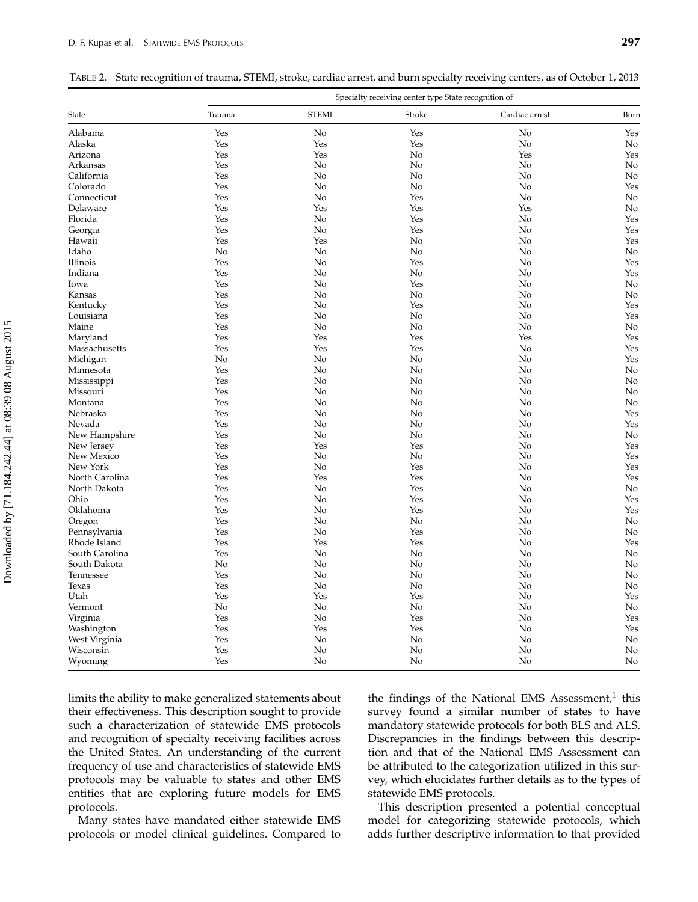TABLE 2. State recognition of trauma, STEMI, stroke, cardiac arrest, and burn specialty receiving centers, as of October 1, 2013

|                | Specialty receiving center type State recognition of |              |        |                |          |
|----------------|------------------------------------------------------|--------------|--------|----------------|----------|
| State          | Trauma                                               | <b>STEMI</b> | Stroke | Cardiac arrest | Burn     |
| Alabama        | Yes                                                  | No           | Yes    | No             | Yes      |
| Alaska         | Yes                                                  | Yes          | Yes    | No             | No       |
| Arizona        | Yes                                                  | Yes          | No     | Yes            | Yes      |
| Arkansas       | Yes                                                  | No           | No     | No             | No       |
| California     | Yes                                                  | No           | No     | No             | No       |
| Colorado       | Yes                                                  | No           | No     | No             | Yes      |
| Connecticut    | Yes                                                  | No           | Yes    | No             | No       |
| Delaware       | Yes                                                  | Yes          | Yes    | Yes            | No       |
| Florida        | Yes                                                  | No           | Yes    | No             | Yes      |
| Georgia        | Yes                                                  | No           | Yes    | No             | Yes      |
| Hawaii         | Yes                                                  | Yes          | No     | No             | Yes      |
| Idaho          | No                                                   | No           | No     | No             | No       |
| Illinois       | Yes                                                  | No           | Yes    | No             | Yes      |
| Indiana        | Yes                                                  | No           | No     | No             | Yes      |
| Iowa           | Yes                                                  | No           | Yes    | No             | No       |
| Kansas         | Yes                                                  | No           | No     | No             | $\rm No$ |
| Kentucky       | Yes                                                  | No           | Yes    | No             | Yes      |
| Louisiana      | Yes                                                  | No           | No     | No             | Yes      |
| Maine          | Yes                                                  | No           | No     | No             | No       |
| Maryland       | Yes                                                  | Yes          | Yes    | Yes            | Yes      |
| Massachusetts  | Yes                                                  | Yes          | Yes    | No             | Yes      |
| Michigan       | No                                                   | No           | No     | No             | Yes      |
| Minnesota      | Yes                                                  | No           | No     | No             | No       |
| Mississippi    | Yes                                                  | No           | No     | No             | No       |
| Missouri       | Yes                                                  | No           | No     | No             | No       |
| Montana        | Yes                                                  | No           | No     | No             | No       |
| Nebraska       | Yes                                                  | No           | No     | No             | Yes      |
| Nevada         | Yes                                                  | No           | No     | No             | Yes      |
| New Hampshire  | Yes                                                  | No           | No     | No             | No       |
| New Jersey     | Yes                                                  | Yes          | Yes    | No             | Yes      |
| New Mexico     | Yes                                                  | No           | No     | No             | Yes      |
| New York       | Yes                                                  | No           | Yes    | No             | Yes      |
| North Carolina | Yes                                                  | Yes          | Yes    | No             | Yes      |
| North Dakota   | Yes                                                  | No           | Yes    | No             | No       |
| Ohio           | Yes                                                  | No           | Yes    | No             | Yes      |
| Oklahoma       | Yes                                                  | No           | Yes    | No             | Yes      |
| Oregon         | Yes                                                  | No           | No     | No             | No       |
| Pennsylvania   | Yes                                                  | No           | Yes    | No             | No       |
| Rhode Island   | Yes                                                  | Yes          | Yes    | No             | Yes      |
| South Carolina | Yes                                                  | No           | No     | No             | No       |
| South Dakota   | No                                                   | No           | No     | No             | No       |
| Tennessee      | Yes                                                  | No           | No     | No             | No       |
| Texas          | Yes                                                  | No           | No     | No             | No       |
| Utah           | Yes                                                  | Yes          | Yes    | No             | Yes      |
| Vermont        | No                                                   | No           | No     | No             | No       |
| Virginia       | Yes                                                  | No           | Yes    | No             | Yes      |
| Washington     | Yes                                                  | Yes          | Yes    | No             | Yes      |
| West Virginia  | Yes                                                  | No           | No     | No             | No       |
| Wisconsin      | Yes                                                  | No           | No     | No             | No       |
| Wyoming        | Yes                                                  | No           | No     | No             | No       |
|                |                                                      |              |        |                |          |

limits the ability to make generalized statements about their effectiveness. This description sought to provide such a characterization of statewide EMS protocols and recognition of specialty receiving facilities across the United States. An understanding of the current frequency of use and characteristics of statewide EMS protocols may be valuable to states and other EMS entities that are exploring future models for EMS protocols.

Many states have mandated either statewide EMS protocols or model clinical guidelines. Compared to the findings of the National EMS Assessment, $<sup>1</sup>$  this</sup> survey found a similar number of states to have mandatory statewide protocols for both BLS and ALS. Discrepancies in the findings between this description and that of the National EMS Assessment can be attributed to the categorization utilized in this survey, which elucidates further details as to the types of statewide EMS protocols.

This description presented a potential conceptual model for categorizing statewide protocols, which adds further descriptive information to that provided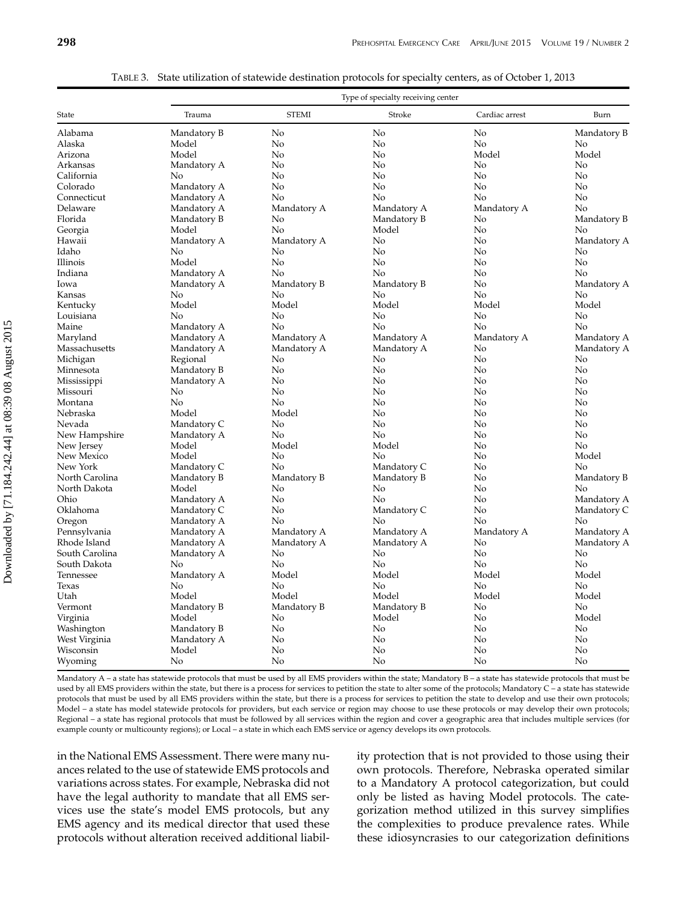| State          |                            | Type of specialty receiving center |             |                |                |  |  |  |
|----------------|----------------------------|------------------------------------|-------------|----------------|----------------|--|--|--|
|                | Trauma                     | <b>STEMI</b>                       | Stroke      | Cardiac arrest | Burn           |  |  |  |
| Alabama        | Mandatory B                | No                                 | No          | No             | Mandatory B    |  |  |  |
| Alaska         | Model                      | No                                 | No          | No             | N <sub>o</sub> |  |  |  |
| Arizona        | Model                      | No                                 | No          | Model          | Model          |  |  |  |
| Arkansas       | Mandatory A                | No                                 | No          | No             | N <sub>o</sub> |  |  |  |
| California     | No                         | No                                 | No          | No             | No             |  |  |  |
| Colorado       | Mandatory A                | No                                 | No          | No             | No             |  |  |  |
| Connecticut    | Mandatory A                | No                                 | No          | No             | No             |  |  |  |
| Delaware       | Mandatory A                | Mandatory A                        | Mandatory A | Mandatory A    | No             |  |  |  |
| Florida        | Mandatory B                | No                                 | Mandatory B | No             | Mandatory B    |  |  |  |
| Georgia        | Model                      | N <sub>o</sub>                     | Model       | No             | No             |  |  |  |
| Hawaii         | Mandatory A                | Mandatory A                        | No          | No             | Mandatory A    |  |  |  |
| Idaho          | No                         | No                                 | No          | No             | No             |  |  |  |
| Illinois       | Model                      | No                                 | No          | No             | No             |  |  |  |
| Indiana        | Mandatory A                | No                                 | No          | No             | No             |  |  |  |
| Iowa           | Mandatory A                | Mandatory B                        | Mandatory B | No             | Mandatory A    |  |  |  |
| Kansas         | No                         | No                                 | No          | No             | No             |  |  |  |
| Kentucky       | Model                      | Model                              | Model       | Model          | Model          |  |  |  |
| Louisiana      | No                         | N <sub>o</sub>                     | No          | No             | No             |  |  |  |
| Maine          |                            | No                                 | No          | No             | No             |  |  |  |
| Maryland       | Mandatory A<br>Mandatory A | Mandatory A                        | Mandatory A | Mandatory A    | Mandatory A    |  |  |  |
| Massachusetts  | Mandatory A                | Mandatory A                        | Mandatory A | No             | Mandatory A    |  |  |  |
|                |                            | No                                 | No          | No             | No             |  |  |  |
| Michigan       | Regional                   |                                    |             |                |                |  |  |  |
| Minnesota      | Mandatory B                | No                                 | No          | No             | No             |  |  |  |
| Mississippi    | Mandatory A                | No                                 | No          | No             | No             |  |  |  |
| Missouri       | No                         | No                                 | No          | No             | No             |  |  |  |
| Montana        | No                         | No                                 | No          | No             | No             |  |  |  |
| Nebraska       | Model                      | Model                              | No          | No             | No             |  |  |  |
| Nevada         | Mandatory C                | No                                 | No          | No             | No             |  |  |  |
| New Hampshire  | Mandatory A                | No                                 | No          | No             | No             |  |  |  |
| New Jersey     | Model                      | Model                              | Model       | No             | No             |  |  |  |
| New Mexico     | Model                      | No                                 | No          | No             | Model          |  |  |  |
| New York       | Mandatory C                | No                                 | Mandatory C | No             | No             |  |  |  |
| North Carolina | Mandatory B                | Mandatory B                        | Mandatory B | No             | Mandatory B    |  |  |  |
| North Dakota   | Model                      | No                                 | No          | No             | No.            |  |  |  |
| Ohio           | Mandatory A                | No                                 | No          | No             | Mandatory A    |  |  |  |
| Oklahoma       | Mandatory C                | No                                 | Mandatory C | No             | Mandatory C    |  |  |  |
| Oregon         | Mandatory A                | No                                 | No          | No             | N <sub>o</sub> |  |  |  |
| Pennsylvania   | Mandatory A                | Mandatory A                        | Mandatory A | Mandatory A    | Mandatory A    |  |  |  |
| Rhode Island   | Mandatory A                | Mandatory A                        | Mandatory A | No             | Mandatory A    |  |  |  |
| South Carolina | Mandatory A                | No                                 | No          | No             | No             |  |  |  |
| South Dakota   | No                         | No                                 | No          | No             | No             |  |  |  |
| Tennessee      | Mandatory A                | Model                              | Model       | Model          | Model          |  |  |  |
| Texas          | No                         | No                                 | No          | No             | No             |  |  |  |
| Utah           | Model                      | Model                              | Model       | Model          | Model          |  |  |  |
| Vermont        | Mandatory B                | Mandatory B                        | Mandatory B | No             | No             |  |  |  |
| Virginia       | Model                      | N <sub>o</sub>                     | Model       | No             | Model          |  |  |  |
| Washington     | Mandatory B                | No                                 | No          | No             | No             |  |  |  |
| West Virginia  | Mandatory A                | No                                 | No          | No             | No             |  |  |  |
| Wisconsin      | Model                      | No                                 | No          | No             | No             |  |  |  |
| Wyoming        | No                         | No                                 | No          | No             | No             |  |  |  |

TABLE 3. State utilization of statewide destination protocols for specialty centers, as of October 1, 2013

Mandatory A – a state has statewide protocols that must be used by all EMS providers within the state; Mandatory B – a state has statewide protocols that must be used by all EMS providers within the state, but there is a process for services to petition the state to alter some of the protocols; Mandatory C - a state has statewide protocols that must be used by all EMS providers within the state, but there is a process for services to petition the state to develop and use their own protocols; Model - a state has model statewide protocols for providers, but each service or region may choose to use these protocols or may develop their own protocols; Regional – a state has regional protocols that must be followed by all services within the region and cover a geographic area that includes multiple services (for example county or multicounty regions); or Local – a state in which each EMS service or agency develops its own protocols.

in the National EMS Assessment. There were many nuances related to the use of statewide EMS protocols and variations across states. For example, Nebraska did not have the legal authority to mandate that all EMS services use the state's model EMS protocols, but any EMS agency and its medical director that used these protocols without alteration received additional liabil-

ity protection that is not provided to those using their own protocols. Therefore, Nebraska operated similar to a Mandatory A protocol categorization, but could only be listed as having Model protocols. The categorization method utilized in this survey simplifies the complexities to produce prevalence rates. While these idiosyncrasies to our categorization definitions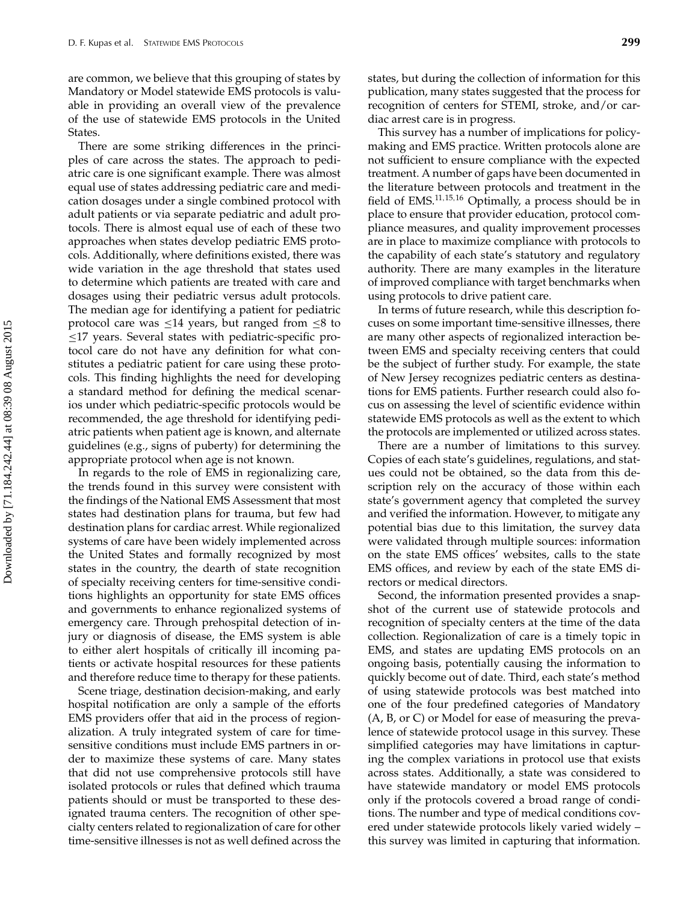are common, we believe that this grouping of states by Mandatory or Model statewide EMS protocols is valuable in providing an overall view of the prevalence of the use of statewide EMS protocols in the United States.

There are some striking differences in the principles of care across the states. The approach to pediatric care is one significant example. There was almost equal use of states addressing pediatric care and medication dosages under a single combined protocol with adult patients or via separate pediatric and adult protocols. There is almost equal use of each of these two approaches when states develop pediatric EMS protocols. Additionally, where definitions existed, there was wide variation in the age threshold that states used to determine which patients are treated with care and dosages using their pediatric versus adult protocols. The median age for identifying a patient for pediatric protocol care was  $\leq$ 14 years, but ranged from  $\leq$ 8 to ≤17 years. Several states with pediatric-specific protocol care do not have any definition for what constitutes a pediatric patient for care using these protocols. This finding highlights the need for developing a standard method for defining the medical scenarios under which pediatric-specific protocols would be recommended, the age threshold for identifying pediatric patients when patient age is known, and alternate guidelines (e.g., signs of puberty) for determining the appropriate protocol when age is not known.

In regards to the role of EMS in regionalizing care, the trends found in this survey were consistent with the findings of the National EMS Assessment that most states had destination plans for trauma, but few had destination plans for cardiac arrest. While regionalized systems of care have been widely implemented across the United States and formally recognized by most states in the country, the dearth of state recognition of specialty receiving centers for time-sensitive conditions highlights an opportunity for state EMS offices and governments to enhance regionalized systems of emergency care. Through prehospital detection of injury or diagnosis of disease, the EMS system is able to either alert hospitals of critically ill incoming patients or activate hospital resources for these patients and therefore reduce time to therapy for these patients.

Scene triage, destination decision-making, and early hospital notification are only a sample of the efforts EMS providers offer that aid in the process of regionalization. A truly integrated system of care for timesensitive conditions must include EMS partners in order to maximize these systems of care. Many states that did not use comprehensive protocols still have isolated protocols or rules that defined which trauma patients should or must be transported to these designated trauma centers. The recognition of other specialty centers related to regionalization of care for other time-sensitive illnesses is not as well defined across the states, but during the collection of information for this publication, many states suggested that the process for recognition of centers for STEMI, stroke, and/or cardiac arrest care is in progress.

This survey has a number of implications for policymaking and EMS practice. Written protocols alone are not sufficient to ensure compliance with the expected treatment. A number of gaps have been documented in the literature between protocols and treatment in the field of EMS.<sup>11</sup>*,*15*,*<sup>16</sup> Optimally, a process should be in place to ensure that provider education, protocol compliance measures, and quality improvement processes are in place to maximize compliance with protocols to the capability of each state's statutory and regulatory authority. There are many examples in the literature of improved compliance with target benchmarks when using protocols to drive patient care.

In terms of future research, while this description focuses on some important time-sensitive illnesses, there are many other aspects of regionalized interaction between EMS and specialty receiving centers that could be the subject of further study. For example, the state of New Jersey recognizes pediatric centers as destinations for EMS patients. Further research could also focus on assessing the level of scientific evidence within statewide EMS protocols as well as the extent to which the protocols are implemented or utilized across states.

There are a number of limitations to this survey. Copies of each state's guidelines, regulations, and statues could not be obtained, so the data from this description rely on the accuracy of those within each state's government agency that completed the survey and verified the information. However, to mitigate any potential bias due to this limitation, the survey data were validated through multiple sources: information on the state EMS offices' websites, calls to the state EMS offices, and review by each of the state EMS directors or medical directors.

Second, the information presented provides a snapshot of the current use of statewide protocols and recognition of specialty centers at the time of the data collection. Regionalization of care is a timely topic in EMS, and states are updating EMS protocols on an ongoing basis, potentially causing the information to quickly become out of date. Third, each state's method of using statewide protocols was best matched into one of the four predefined categories of Mandatory (A, B, or C) or Model for ease of measuring the prevalence of statewide protocol usage in this survey. These simplified categories may have limitations in capturing the complex variations in protocol use that exists across states. Additionally, a state was considered to have statewide mandatory or model EMS protocols only if the protocols covered a broad range of conditions. The number and type of medical conditions covered under statewide protocols likely varied widely – this survey was limited in capturing that information.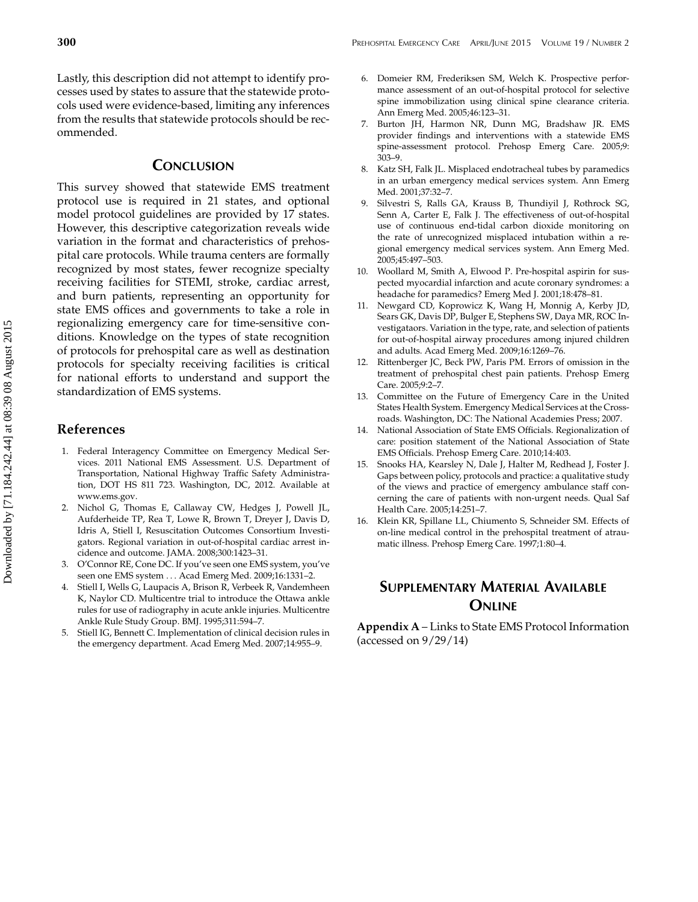Lastly, this description did not attempt to identify processes used by states to assure that the statewide protocols used were evidence-based, limiting any inferences from the results that statewide protocols should be recommended.

### **CONCLUSION**

This survey showed that statewide EMS treatment protocol use is required in 21 states, and optional model protocol guidelines are provided by 17 states. However, this descriptive categorization reveals wide variation in the format and characteristics of prehospital care protocols. While trauma centers are formally recognized by most states, fewer recognize specialty receiving facilities for STEMI, stroke, cardiac arrest, and burn patients, representing an opportunity for state EMS offices and governments to take a role in regionalizing emergency care for time-sensitive conditions. Knowledge on the types of state recognition of protocols for prehospital care as well as destination protocols for specialty receiving facilities is critical for national efforts to understand and support the standardization of EMS systems.

#### **References**

- 1. Federal Interagency Committee on Emergency Medical Services. 2011 National EMS Assessment. U.S. Department of Transportation, National Highway Traffic Safety Administration, DOT HS 811 723. Washington, DC, 2012. Available at www.ems.gov.
- 2. Nichol G, Thomas E, Callaway CW, Hedges J, Powell JL, Aufderheide TP, Rea T, Lowe R, Brown T, Dreyer J, Davis D, Idris A, Stiell I, Resuscitation Outcomes Consortium Investigators. Regional variation in out-of-hospital cardiac arrest incidence and outcome. JAMA. 2008;300:1423–31.
- 3. O'Connor RE, Cone DC. If you've seen one EMS system, you've seen one EMS system *...* Acad Emerg Med. 2009;16:1331–2.
- 4. Stiell I, Wells G, Laupacis A, Brison R, Verbeek R, Vandemheen K, Naylor CD. Multicentre trial to introduce the Ottawa ankle rules for use of radiography in acute ankle injuries. Multicentre Ankle Rule Study Group. BMJ. 1995;311:594–7.
- 5. Stiell IG, Bennett C. Implementation of clinical decision rules in the emergency department. Acad Emerg Med. 2007;14:955–9.
- 6. Domeier RM, Frederiksen SM, Welch K. Prospective performance assessment of an out-of-hospital protocol for selective spine immobilization using clinical spine clearance criteria. Ann Emerg Med. 2005;46:123–31.
- 7. Burton JH, Harmon NR, Dunn MG, Bradshaw JR. EMS provider findings and interventions with a statewide EMS spine-assessment protocol. Prehosp Emerg Care. 2005;9: 303–9.
- 8. Katz SH, Falk JL. Misplaced endotracheal tubes by paramedics in an urban emergency medical services system. Ann Emerg Med. 2001;37:32–7.
- 9. Silvestri S, Ralls GA, Krauss B, Thundiyil J, Rothrock SG, Senn A, Carter E, Falk J. The effectiveness of out-of-hospital use of continuous end-tidal carbon dioxide monitoring on the rate of unrecognized misplaced intubation within a regional emergency medical services system. Ann Emerg Med. 2005;45:497–503.
- 10. Woollard M, Smith A, Elwood P. Pre-hospital aspirin for suspected myocardial infarction and acute coronary syndromes: a headache for paramedics? Emerg Med J. 2001;18:478–81.
- 11. Newgard CD, Koprowicz K, Wang H, Monnig A, Kerby JD, Sears GK, Davis DP, Bulger E, Stephens SW, Daya MR, ROC Investigataors. Variation in the type, rate, and selection of patients for out-of-hospital airway procedures among injured children and adults. Acad Emerg Med. 2009;16:1269–76.
- 12. Rittenberger JC, Beck PW, Paris PM. Errors of omission in the treatment of prehospital chest pain patients. Prehosp Emerg Care. 2005;9:2–7.
- 13. Committee on the Future of Emergency Care in the United States Health System. Emergency Medical Services at the Crossroads. Washington, DC: The National Academies Press; 2007.
- 14. National Association of State EMS Officials. Regionalization of care: position statement of the National Association of State EMS Officials. Prehosp Emerg Care. 2010;14:403.
- 15. Snooks HA, Kearsley N, Dale J, Halter M, Redhead J, Foster J. Gaps between policy, protocols and practice: a qualitative study of the views and practice of emergency ambulance staff concerning the care of patients with non-urgent needs. Qual Saf Health Care. 2005;14:251–7.
- 16. Klein KR, Spillane LL, Chiumento S, Schneider SM. Effects of on-line medical control in the prehospital treatment of atraumatic illness. Prehosp Emerg Care. 1997;1:80–4.

### **SUPPLEMENTARY MATERIAL AVAILABLE ONLINE**

**Appendix A** – Links to State EMS Protocol Information (accessed on 9/29/14)